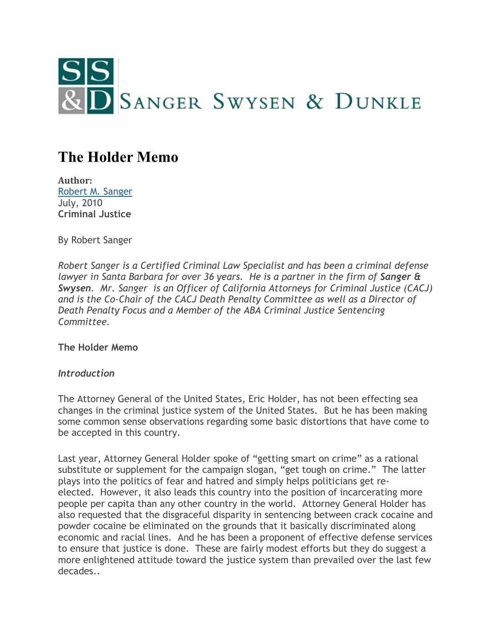

# **The Holder Memo**

**Author:** [Robert M. Sanger](http://www.sangerswysen.com/robert-m-sanger) July, 2010 **Criminal Justice**

By Robert Sanger

*Robert Sanger is a Certified Criminal Law Specialist and has been a criminal defense lawyer in Santa Barbara for over 36 years. He is a partner in the firm of Sanger & Swysen. Mr. Sanger is an Officer of California Attorneys for Criminal Justice (CACJ) and is the Co-Chair of the CACJ Death Penalty Committee as well as a Director of Death Penalty Focus and a Member of the ABA Criminal Justice Sentencing Committee.*

**The Holder Memo**

## *Introduction*

The Attorney General of the United States, Eric Holder, has not been effecting sea changes in the criminal justice system of the United States. But he has been making some common sense observations regarding some basic distortions that have come to be accepted in this country.

Last year, Attorney General Holder spoke of "getting smart on crime" as a rational substitute or supplement for the campaign slogan, "get tough on crime." The latter plays into the politics of fear and hatred and simply helps politicians get reelected. However, it also leads this country into the position of incarcerating more people per capita than any other country in the world. Attorney General Holder has also requested that the disgraceful disparity in sentencing between crack cocaine and powder cocaine be eliminated on the grounds that it basically discriminated along economic and racial lines. And he has been a proponent of effective defense services to ensure that justice is done. These are fairly modest efforts but they do suggest a more enlightened attitude toward the justice system than prevailed over the last few decades..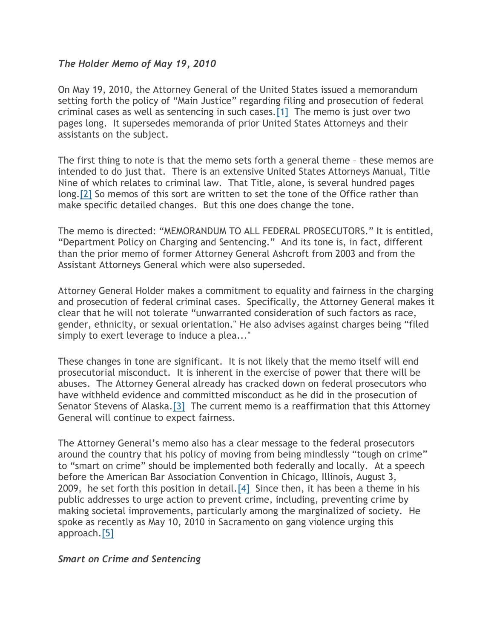## *The Holder Memo of May 19, 2010*

On May 19, 2010, the Attorney General of the United States issued a memorandum setting forth the policy of "Main Justice" regarding filing and prosecution of federal criminal cases as well as sentencing in such cases[.\[1\]](#page-3-0) The memo is just over two pages long. It supersedes memoranda of prior United States Attorneys and their assistants on the subject.

The first thing to note is that the memo sets forth a general theme – these memos are intended to do just that. There is an extensive United States Attorneys Manual, Title Nine of which relates to criminal law. That Title, alone, is several hundred pages long[.\[2\]](#page-3-1) So memos of this sort are written to set the tone of the Office rather than make specific detailed changes. But this one does change the tone.

The memo is directed: "MEMORANDUM TO ALL FEDERAL PROSECUTORS." It is entitled, "Department Policy on Charging and Sentencing." And its tone is, in fact, different than the prior memo of former Attorney General Ashcroft from 2003 and from the Assistant Attorneys General which were also superseded.

Attorney General Holder makes a commitment to equality and fairness in the charging and prosecution of federal criminal cases. Specifically, the Attorney General makes it clear that he will not tolerate "unwarranted consideration of such factors as race, gender, ethnicity, or sexual orientation." He also advises against charges being "filed simply to exert leverage to induce a plea..."

These changes in tone are significant. It is not likely that the memo itself will end prosecutorial misconduct. It is inherent in the exercise of power that there will be abuses. The Attorney General already has cracked down on federal prosecutors who have withheld evidence and committed misconduct as he did in the prosecution of Senator Stevens of Alaska[.\[3\]](#page-3-2) The current memo is a reaffirmation that this Attorney General will continue to expect fairness.

The Attorney General's memo also has a clear message to the federal prosecutors around the country that his policy of moving from being mindlessly "tough on crime" to "smart on crime" should be implemented both federally and locally. At a speech before the American Bar Association Convention in Chicago, Illinois, August 3, 2009, he set forth this position in detail[.\[4\]](#page-3-3) Since then, it has been a theme in his public addresses to urge action to prevent crime, including, preventing crime by making societal improvements, particularly among the marginalized of society. He spoke as recently as May 10, 2010 in Sacramento on gang violence urging this approach[.\[5\]](#page-3-4)

## *Smart on Crime and Sentencing*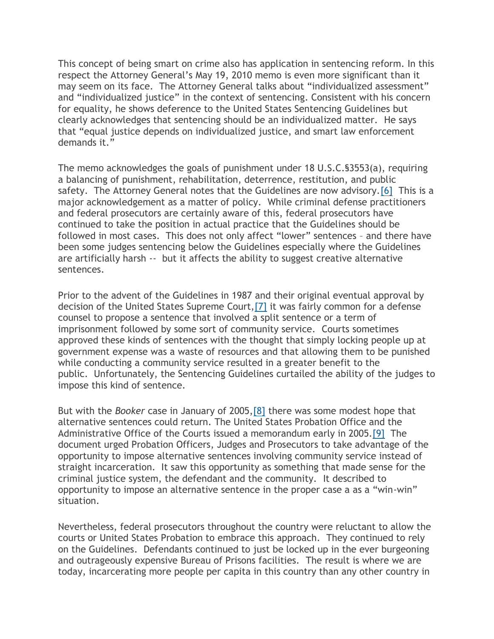This concept of being smart on crime also has application in sentencing reform. In this respect the Attorney General's May 19, 2010 memo is even more significant than it may seem on its face. The Attorney General talks about "individualized assessment" and "individualized justice" in the context of sentencing. Consistent with his concern for equality, he shows deference to the United States Sentencing Guidelines but clearly acknowledges that sentencing should be an individualized matter. He says that "equal justice depends on individualized justice, and smart law enforcement demands it."

The memo acknowledges the goals of punishment under 18 U.S.C.§3553(a), requiring a balancing of punishment, rehabilitation, deterrence, restitution, and public safety. The Attorney General notes that the Guidelines are now advisory[.\[6\]](#page-4-0) This is a major acknowledgement as a matter of policy. While criminal defense practitioners and federal prosecutors are certainly aware of this, federal prosecutors have continued to take the position in actual practice that the Guidelines should be followed in most cases. This does not only affect "lower" sentences – and there have been some judges sentencing below the Guidelines especially where the Guidelines are artificially harsh -- but it affects the ability to suggest creative alternative sentences.

Prior to the advent of the Guidelines in 1987 and their original eventual approval by decision of the United States Supreme Court[,\[7\]](#page-4-1) it was fairly common for a defense counsel to propose a sentence that involved a split sentence or a term of imprisonment followed by some sort of community service. Courts sometimes approved these kinds of sentences with the thought that simply locking people up at government expense was a waste of resources and that allowing them to be punished while conducting a community service resulted in a greater benefit to the public. Unfortunately, the Sentencing Guidelines curtailed the ability of the judges to impose this kind of sentence.

But with the *Booker* case in January of 2005[,\[8\]](#page-4-2) there was some modest hope that alternative sentences could return. The United States Probation Office and the Administrative Office of the Courts issued a memorandum early in 2005[.\[9\]](#page-4-3) The document urged Probation Officers, Judges and Prosecutors to take advantage of the opportunity to impose alternative sentences involving community service instead of straight incarceration. It saw this opportunity as something that made sense for the criminal justice system, the defendant and the community. It described to opportunity to impose an alternative sentence in the proper case a as a "win-win" situation.

Nevertheless, federal prosecutors throughout the country were reluctant to allow the courts or United States Probation to embrace this approach. They continued to rely on the Guidelines. Defendants continued to just be locked up in the ever burgeoning and outrageously expensive Bureau of Prisons facilities. The result is where we are today, incarcerating more people per capita in this country than any other country in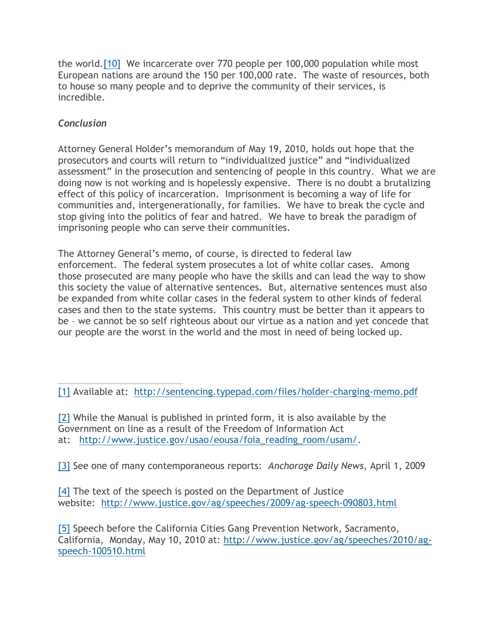the world[.\[10\]](#page-4-4) We incarcerate over 770 people per 100,000 population while most European nations are around the 150 per 100,000 rate. The waste of resources, both to house so many people and to deprive the community of their services, is incredible.

# *Conclusion*

Attorney General Holder's memorandum of May 19, 2010, holds out hope that the prosecutors and courts will return to "individualized justice" and "individualized assessment" in the prosecution and sentencing of people in this country. What we are doing now is not working and is hopelessly expensive. There is no doubt a brutalizing effect of this policy of incarceration. Imprisonment is becoming a way of life for communities and, intergenerationally, for families. We have to break the cycle and stop giving into the politics of fear and hatred. We have to break the paradigm of imprisoning people who can serve their communities.

The Attorney General's memo, of course, is directed to federal law enforcement. The federal system prosecutes a lot of white collar cases. Among those prosecuted are many people who have the skills and can lead the way to show this society the value of alternative sentences. But, alternative sentences must also be expanded from white collar cases in the federal system to other kinds of federal cases and then to the state systems. This country must be better than it appears to be – we cannot be so self righteous about our virtue as a nation and yet concede that our people are the worst in the world and the most in need of being locked up.

<span id="page-3-1"></span>[2] While the Manual is published in printed form, it is also available by the Government on line as a result of the Freedom of Information Act at: [http://www.justice.gov/usao/eousa/foia\\_reading\\_room/usam/.](http://www.justice.gov/usao/eousa/foia_reading_room/usam/)

<span id="page-3-2"></span>[3] See one of many contemporaneous reports: *Anchorage Daily News*, April 1, 2009

<span id="page-3-3"></span>[4] The text of the speech is posted on the Department of Justice website: <http://www.justice.gov/ag/speeches/2009/ag-speech-090803.html>

<span id="page-3-4"></span>[5] Speech before the California Cities Gang Prevention Network, Sacramento, California, Monday, May 10, 2010 at: [http://www.justice.gov/ag/speeches/2010/ag](http://www.justice.gov/ag/speeches/2010/ag-speech-100510.html)[speech-100510.html](http://www.justice.gov/ag/speeches/2010/ag-speech-100510.html)

<span id="page-3-0"></span><sup>[1]</sup> Available at: <http://sentencing.typepad.com/files/holder-charging-memo.pdf>